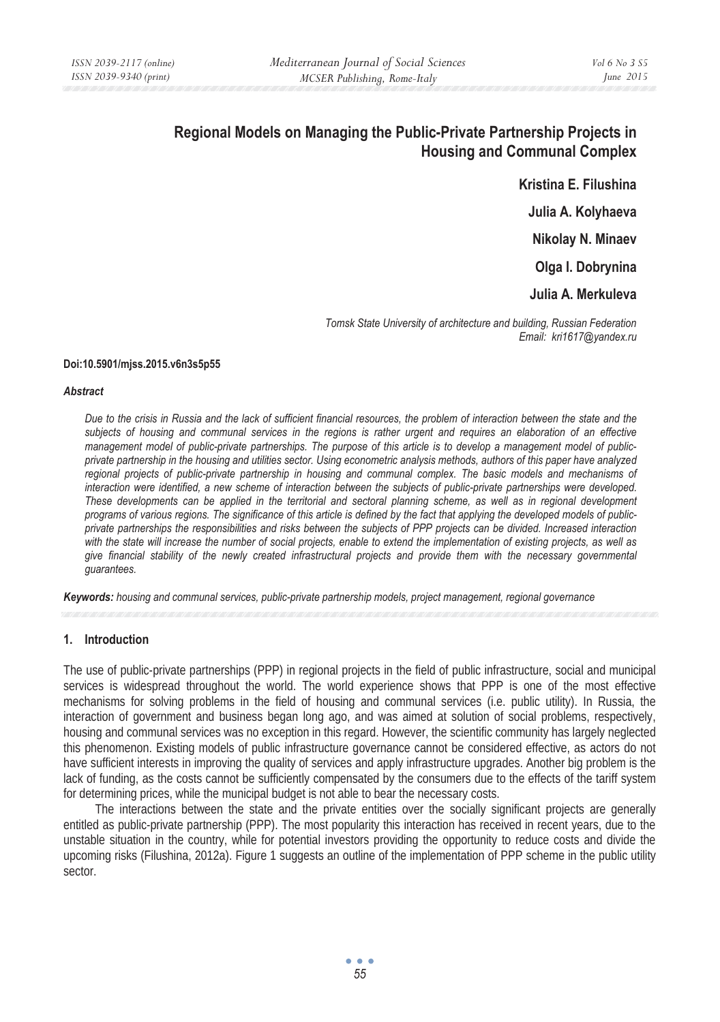# **Regional Models on Managing the Public-Private Partnership Projects in Housing and Communal Complex**

**Kristina E. Filushina Julia A. Kolyhaeva Nikolay N. Minaev** 

**Olga I. Dobrynina** 

**Julia A. Merkuleva** 

*Tomsk State University of architecture and building, Russian Federation Email: kri1617@yandex.ru* 

#### **Doi:10.5901/mjss.2015.v6n3s5p55**

#### *Abstract*

*Due to the crisis in Russia and the lack of sufficient financial resources, the problem of interaction between the state and the subjects of housing and communal services in the regions is rather urgent and requires an elaboration of an effective management model of public-private partnerships. The purpose of this article is to develop a management model of publicprivate partnership in the housing and utilities sector. Using econometric analysis methods, authors of this paper have analyzed*  regional projects of public-private partnership in housing and communal complex. The basic models and mechanisms of *interaction were identified, a new scheme of interaction between the subjects of public-private partnerships were developed. These developments can be applied in the territorial and sectoral planning scheme, as well as in regional development programs of various regions. The significance of this article is defined by the fact that applying the developed models of publicprivate partnerships the responsibilities and risks between the subjects of PPP projects can be divided. Increased interaction with the state will increase the number of social projects, enable to extend the implementation of existing projects, as well as give financial stability of the newly created infrastructural projects and provide them with the necessary governmental guarantees.* 

*Keywords: housing and communal services, public-private partnership models, project management, regional governance*

### **1. Introduction**

The use of public-private partnerships (PPP) in regional projects in the field of public infrastructure, social and municipal services is widespread throughout the world. The world experience shows that PPP is one of the most effective mechanisms for solving problems in the field of housing and communal services (i.e. public utility). In Russia, the interaction of government and business began long ago, and was aimed at solution of social problems, respectively, housing and communal services was no exception in this regard. However, the scientific community has largely neglected this phenomenon. Existing models of public infrastructure governance cannot be considered effective, as actors do not have sufficient interests in improving the quality of services and apply infrastructure upgrades. Another big problem is the lack of funding, as the costs cannot be sufficiently compensated by the consumers due to the effects of the tariff system for determining prices, while the municipal budget is not able to bear the necessary costs.

The interactions between the state and the private entities over the socially significant projects are generally entitled as public-private partnership (PPP). The most popularity this interaction has received in recent years, due to the unstable situation in the country, while for potential investors providing the opportunity to reduce costs and divide the upcoming risks (Filushina, 2012a). Figure 1 suggests an outline of the implementation of PPP scheme in the public utility sector.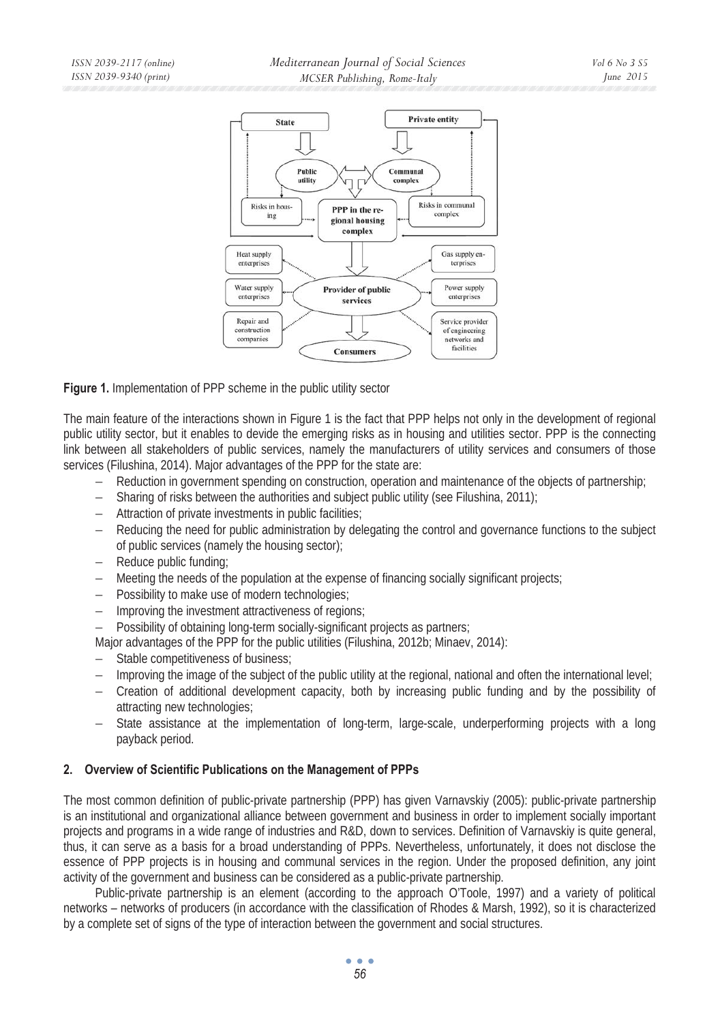

**Figure 1.** Implementation of PPP scheme in the public utility sector

The main feature of the interactions shown in Figure 1 is the fact that PPP helps not only in the development of regional public utility sector, but it enables to devide the emerging risks as in housing and utilities sector. PPP is the connecting link between all stakeholders of public services, namely the manufacturers of utility services and consumers of those services (Filushina, 2014). Major advantages of the PPP for the state are:

- − Reduction in government spending on construction, operation and maintenance of the objects of partnership;
- − Sharing of risks between the authorities and subject public utility (see Filushina, 2011);
- − Attraction of private investments in public facilities;
- Reducing the need for public administration by delegating the control and governance functions to the subject of public services (namely the housing sector);
- − Reduce public funding;
- Meeting the needs of the population at the expense of financing socially significant projects;
- Possibility to make use of modern technologies;
- Improving the investment attractiveness of regions;
- Possibility of obtaining long-term socially-significant projects as partners;

Major advantages of the PPP for the public utilities (Filushina, 2012b; Minaev, 2014):

- Stable competitiveness of business;
- − Improving the image of the subject of the public utility at the regional, national and often the international level;
- − Creation of additional development capacity, both by increasing public funding and by the possibility of attracting new technologies;
- State assistance at the implementation of long-term, large-scale, underperforming projects with a long payback period.

### **2. Overview of Scientific Publications on the Management of PPPs**

The most common definition of public-private partnership (PPP) has given Varnavskiy (2005): public-private partnership is an institutional and organizational alliance between government and business in order to implement socially important projects and programs in a wide range of industries and R&D, down to services. Definition of Varnavskiy is quite general, thus, it can serve as a basis for a broad understanding of PPPs. Nevertheless, unfortunately, it does not disclose the essence of PPP projects is in housing and communal services in the region. Under the proposed definition, any joint activity of the government and business can be considered as a public-private partnership.

Public-private partnership is an element (according to the approach O'Toole, 1997) and a variety of political networks – networks of producers (in accordance with the classification of Rhodes & Marsh, 1992), so it is characterized by a complete set of signs of the type of interaction between the government and social structures.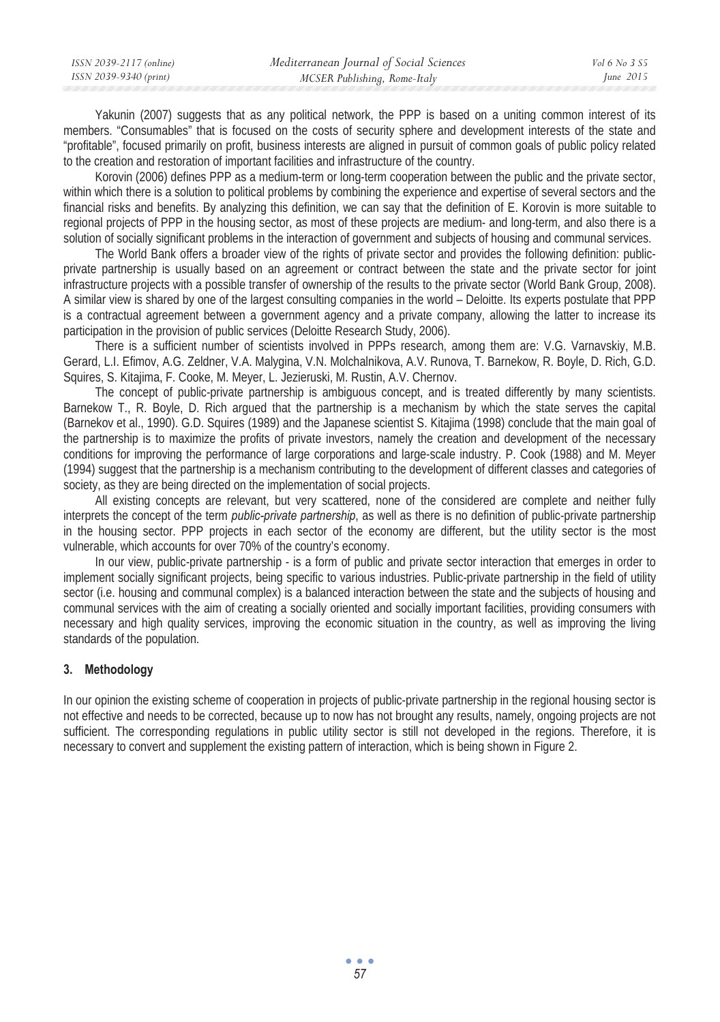| ISSN 2039-2117 (online) | Mediterranean Journal of Social Sciences | Vol 6 No. 3 S5 |
|-------------------------|------------------------------------------|----------------|
| ISSN 2039-9340 (print)  | MCSER Publishing, Rome-Italy             | June $2015$    |
|                         |                                          |                |

Yakunin (2007) suggests that as any political network, the PPP is based on a uniting common interest of its members. "Consumables" that is focused on the costs of security sphere and development interests of the state and "profitable", focused primarily on profit, business interests are aligned in pursuit of common goals of public policy related to the creation and restoration of important facilities and infrastructure of the country.

Korovin (2006) defines PPP as a medium-term or long-term cooperation between the public and the private sector, within which there is a solution to political problems by combining the experience and expertise of several sectors and the financial risks and benefits. By analyzing this definition, we can say that the definition of E. Korovin is more suitable to regional projects of PPP in the housing sector, as most of these projects are medium- and long-term, and also there is a solution of socially significant problems in the interaction of government and subjects of housing and communal services.

The World Bank offers a broader view of the rights of private sector and provides the following definition: publicprivate partnership is usually based on an agreement or contract between the state and the private sector for joint infrastructure projects with a possible transfer of ownership of the results to the private sector (World Bank Group, 2008). A similar view is shared by one of the largest consulting companies in the world – Deloitte. Its experts postulate that PPP is a contractual agreement between a government agency and a private company, allowing the latter to increase its participation in the provision of public services (Deloitte Research Study, 2006).

There is a sufficient number of scientists involved in PPPs research, among them are: V.G. Varnavskiy, M.B. Gerard, L.I. Efimov, A.G. Zeldner, V.A. Malygina, V.N. Molchalnikova, A.V. Runova, T. Barnekow, R. Boyle, D. Rich, G.D. Squires, S. Kitajima, F. Cooke, M. Meyer, L. Jezieruski, M. Rustin, A.V. Chernov.

The concept of public-private partnership is ambiguous concept, and is treated differently by many scientists. Barnekow T., R. Boyle, D. Rich argued that the partnership is a mechanism by which the state serves the capital (Barnekov et al., 1990). G.D. Squires (1989) and the Japanese scientist S. Kitajima (1998) conclude that the main goal of the partnership is to maximize the profits of private investors, namely the creation and development of the necessary conditions for improving the performance of large corporations and large-scale industry. P. Cook (1988) and M. Meyer (1994) suggest that the partnership is a mechanism contributing to the development of different classes and categories of society, as they are being directed on the implementation of social projects.

All existing concepts are relevant, but very scattered, none of the considered are complete and neither fully interprets the concept of the term *public-private partnership*, as well as there is no definition of public-private partnership in the housing sector. PPP projects in each sector of the economy are different, but the utility sector is the most vulnerable, which accounts for over 70% of the country's economy.

In our view, public-private partnership - is a form of public and private sector interaction that emerges in order to implement socially significant projects, being specific to various industries. Public-private partnership in the field of utility sector (i.e. housing and communal complex) is a balanced interaction between the state and the subjects of housing and communal services with the aim of creating a socially oriented and socially important facilities, providing consumers with necessary and high quality services, improving the economic situation in the country, as well as improving the living standards of the population.

### **3. Methodology**

In our opinion the existing scheme of cooperation in projects of public-private partnership in the regional housing sector is not effective and needs to be corrected, because up to now has not brought any results, namely, ongoing projects are not sufficient. The corresponding regulations in public utility sector is still not developed in the regions. Therefore, it is necessary to convert and supplement the existing pattern of interaction, which is being shown in Figure 2.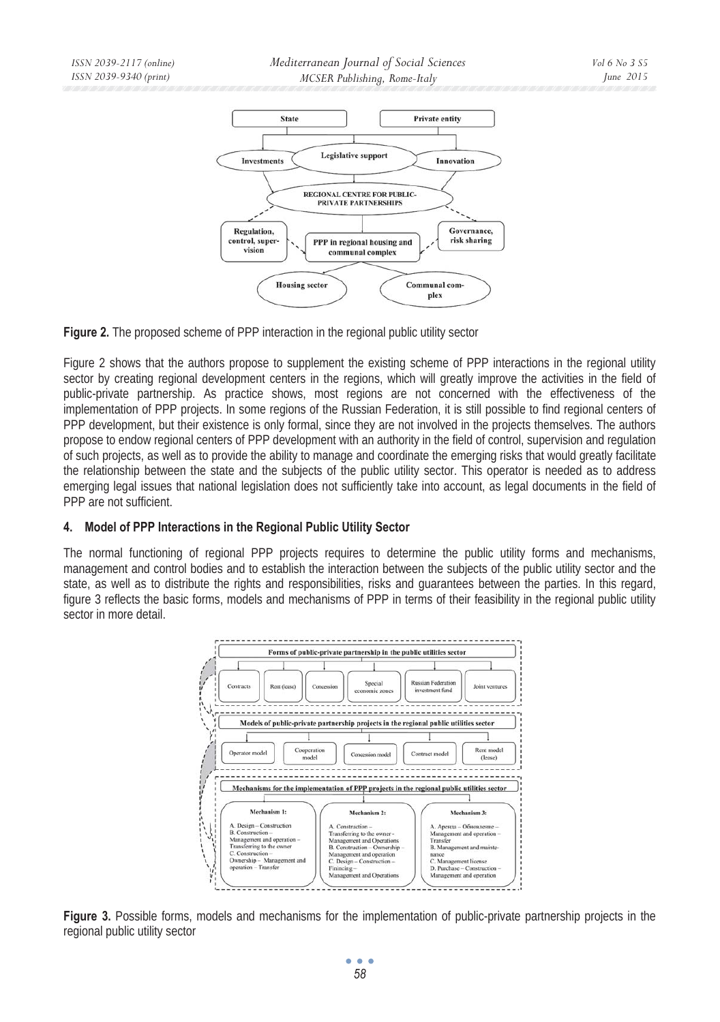

**Figure 2.** The proposed scheme of PPP interaction in the regional public utility sector

Figure 2 shows that the authors propose to supplement the existing scheme of PPP interactions in the regional utility sector by creating regional development centers in the regions, which will greatly improve the activities in the field of public-private partnership. As practice shows, most regions are not concerned with the effectiveness of the implementation of PPP projects. In some regions of the Russian Federation, it is still possible to find regional centers of PPP development, but their existence is only formal, since they are not involved in the projects themselves. The authors propose to endow regional centers of PPP development with an authority in the field of control, supervision and regulation of such projects, as well as to provide the ability to manage and coordinate the emerging risks that would greatly facilitate the relationship between the state and the subjects of the public utility sector. This operator is needed as to address emerging legal issues that national legislation does not sufficiently take into account, as legal documents in the field of PPP are not sufficient.

# **4. Model of PPP Interactions in the Regional Public Utility Sector**

The normal functioning of regional PPP projects requires to determine the public utility forms and mechanisms, management and control bodies and to establish the interaction between the subjects of the public utility sector and the state, as well as to distribute the rights and responsibilities, risks and guarantees between the parties. In this regard, figure 3 reflects the basic forms, models and mechanisms of PPP in terms of their feasibility in the regional public utility sector in more detail.



**Figure 3.** Possible forms, models and mechanisms for the implementation of public-private partnership projects in the regional public utility sector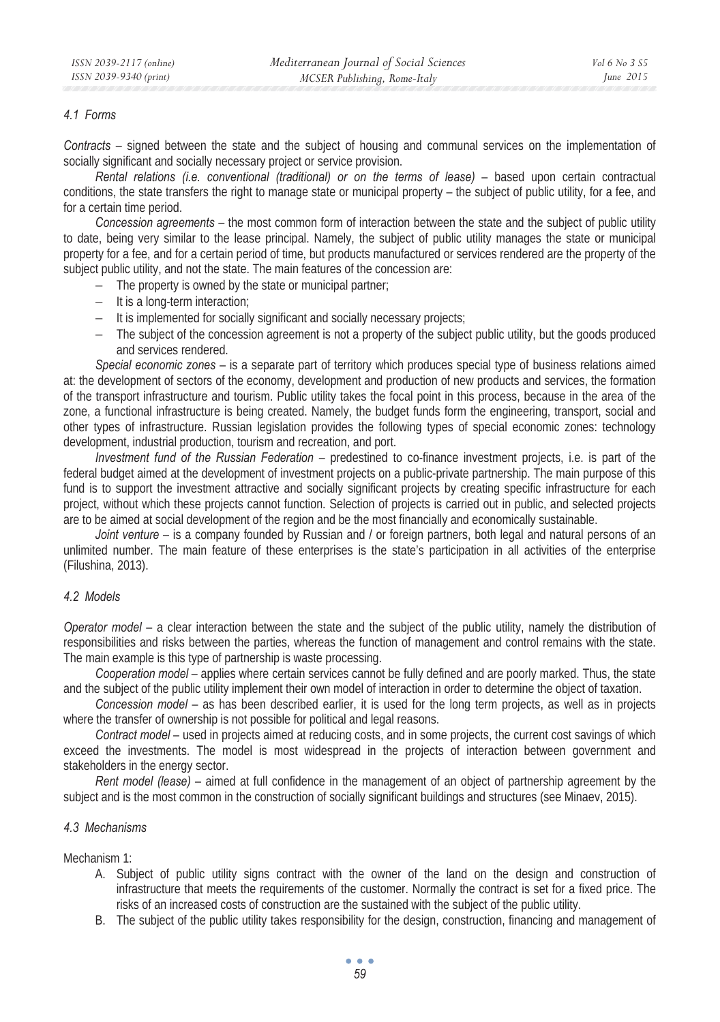### *4.1 Forms*

*Contracts* – signed between the state and the subject of housing and communal services on the implementation of socially significant and socially necessary project or service provision.

*Rental relations (i.e. conventional (traditional) or on the terms of lease)* – based upon certain contractual conditions, the state transfers the right to manage state or municipal property – the subject of public utility, for a fee, and for a certain time period.

*Concession agreements* – the most common form of interaction between the state and the subject of public utility to date, being very similar to the lease principal. Namely, the subject of public utility manages the state or municipal property for a fee, and for a certain period of time, but products manufactured or services rendered are the property of the subject public utility, and not the state. The main features of the concession are:

- − The property is owned by the state or municipal partner;
- − It is a long-term interaction;
- − It is implemented for socially significant and socially necessary projects;
- − The subject of the concession agreement is not a property of the subject public utility, but the goods produced and services rendered.

*Special economic zones* – is a separate part of territory which produces special type of business relations aimed at: the development of sectors of the economy, development and production of new products and services, the formation of the transport infrastructure and tourism. Public utility takes the focal point in this process, because in the area of the zone, a functional infrastructure is being created. Namely, the budget funds form the engineering, transport, social and other types of infrastructure. Russian legislation provides the following types of special economic zones: technology development, industrial production, tourism and recreation, and port.

*Investment fund of the Russian Federation* – predestined to co-finance investment projects, i.e. is part of the federal budget aimed at the development of investment projects on a public-private partnership. The main purpose of this fund is to support the investment attractive and socially significant projects by creating specific infrastructure for each project, without which these projects cannot function. Selection of projects is carried out in public, and selected projects are to be aimed at social development of the region and be the most financially and economically sustainable.

*Joint venture* – is a company founded by Russian and / or foreign partners, both legal and natural persons of an unlimited number. The main feature of these enterprises is the state's participation in all activities of the enterprise (Filushina, 2013).

### *4.2 Models*

*Operator model* – a clear interaction between the state and the subject of the public utility, namely the distribution of responsibilities and risks between the parties, whereas the function of management and control remains with the state. The main example is this type of partnership is waste processing.

*Cooperation model* – applies where certain services cannot be fully defined and are poorly marked. Thus, the state and the subject of the public utility implement their own model of interaction in order to determine the object of taxation.

*Concession model* – as has been described earlier, it is used for the long term projects, as well as in projects where the transfer of ownership is not possible for political and legal reasons.

*Contract model* – used in projects aimed at reducing costs, and in some projects, the current cost savings of which exceed the investments. The model is most widespread in the projects of interaction between government and stakeholders in the energy sector.

*Rent model (lease)* – aimed at full confidence in the management of an object of partnership agreement by the subject and is the most common in the construction of socially significant buildings and structures (see Minaev, 2015).

### *4.3 Mechanisms*

### Mechanism 1:

- A. Subject of public utility signs contract with the owner of the land on the design and construction of infrastructure that meets the requirements of the customer. Normally the contract is set for a fixed price. The risks of an increased costs of construction are the sustained with the subject of the public utility.
- B. The subject of the public utility takes responsibility for the design, construction, financing and management of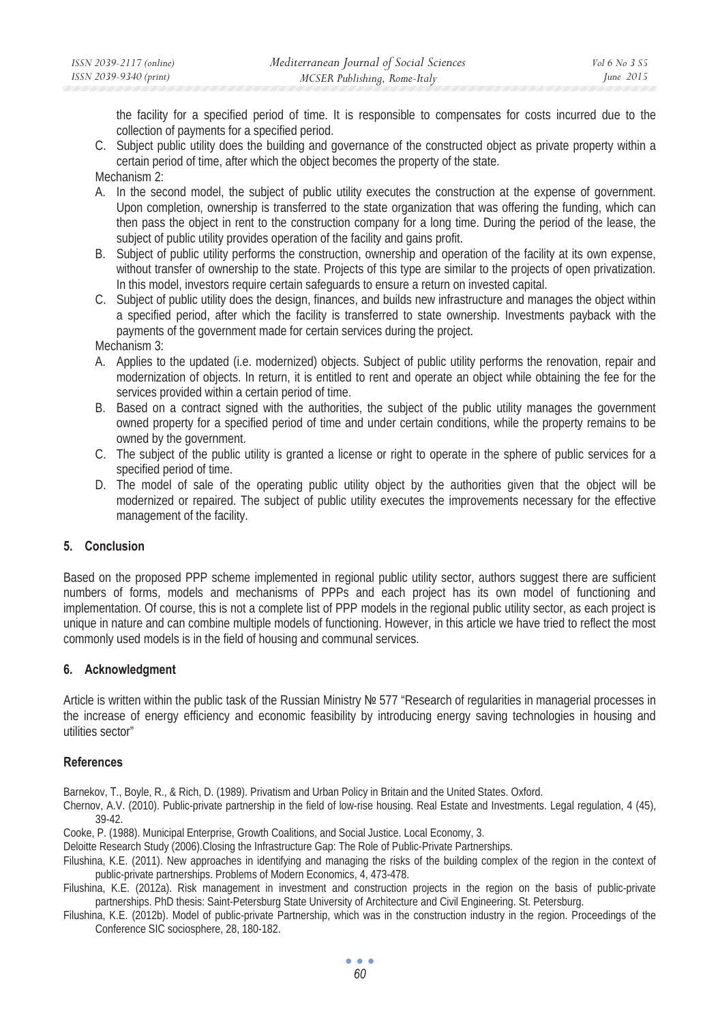the facility for a specified period of time. It is responsible to compensates for costs incurred due to the collection of payments for a specified period.

C. Subject public utility does the building and governance of the constructed object as private property within a certain period of time, after which the object becomes the property of the state.

Mechanism 2:

- A. In the second model, the subject of public utility executes the construction at the expense of government. Upon completion, ownership is transferred to the state organization that was offering the funding, which can then pass the object in rent to the construction company for a long time. During the period of the lease, the subject of public utility provides operation of the facility and gains profit.
- B. Subject of public utility performs the construction, ownership and operation of the facility at its own expense, without transfer of ownership to the state. Projects of this type are similar to the projects of open privatization. In this model, investors require certain safeguards to ensure a return on invested capital.
- C. Subject of public utility does the design, finances, and builds new infrastructure and manages the object within a specified period, after which the facility is transferred to state ownership. Investments payback with the payments of the government made for certain services during the project.

Mechanism 3:

- A. Applies to the updated (i.e. modernized) objects. Subject of public utility performs the renovation, repair and modernization of objects. In return, it is entitled to rent and operate an object while obtaining the fee for the services provided within a certain period of time.
- B. Based on a contract signed with the authorities, the subject of the public utility manages the government owned property for a specified period of time and under certain conditions, while the property remains to be owned by the government.
- C. The subject of the public utility is granted a license or right to operate in the sphere of public services for a specified period of time.
- D. The model of sale of the operating public utility object by the authorities given that the object will be modernized or repaired. The subject of public utility executes the improvements necessary for the effective management of the facility.

## **5. Conclusion**

Based on the proposed PPP scheme implemented in regional public utility sector, authors suggest there are sufficient numbers of forms, models and mechanisms of PPPs and each project has its own model of functioning and implementation. Of course, this is not a complete list of PPP models in the regional public utility sector, as each project is unique in nature and can combine multiple models of functioning. However, in this article we have tried to reflect the most commonly used models is in the field of housing and communal services.

# **6. Acknowledgment**

Article is written within the public task of the Russian Ministry № 577 "Research of regularities in managerial processes in the increase of energy efficiency and economic feasibility by introducing energy saving technologies in housing and utilities sector"

### **References**

Barnekov, T., Boyle, R., & Rich, D. (1989). Privatism and Urban Policy in Britain and the United States. Oxford.

Chernov, A.V. (2010). Public-private partnership in the field of low-rise housing. Real Estate and Investments. Legal regulation, 4 (45), 39-42.

Cooke, P. (1988). Municipal Enterprise, Growth Coalitions, and Social Justice. Local Economy, 3.

- Deloitte Research Study (2006).Closing the Infrastructure Gap: The Role of Public-Private Partnerships.
- Filushina, K.E. (2011). New approaches in identifying and managing the risks of the building complex of the region in the context of public-private partnerships. Problems of Modern Economics, 4, 473-478.

Filushina, K.E. (2012a). Risk management in investment and construction projects in the region on the basis of public-private partnerships. PhD thesis: Saint-Petersburg State University of Architecture and Civil Engineering. St. Petersburg.

Filushina, K.E. (2012b). Model of public-private Partnership, which was in the construction industry in the region. Proceedings of the Conference SIC sociosphere, 28, 180-182.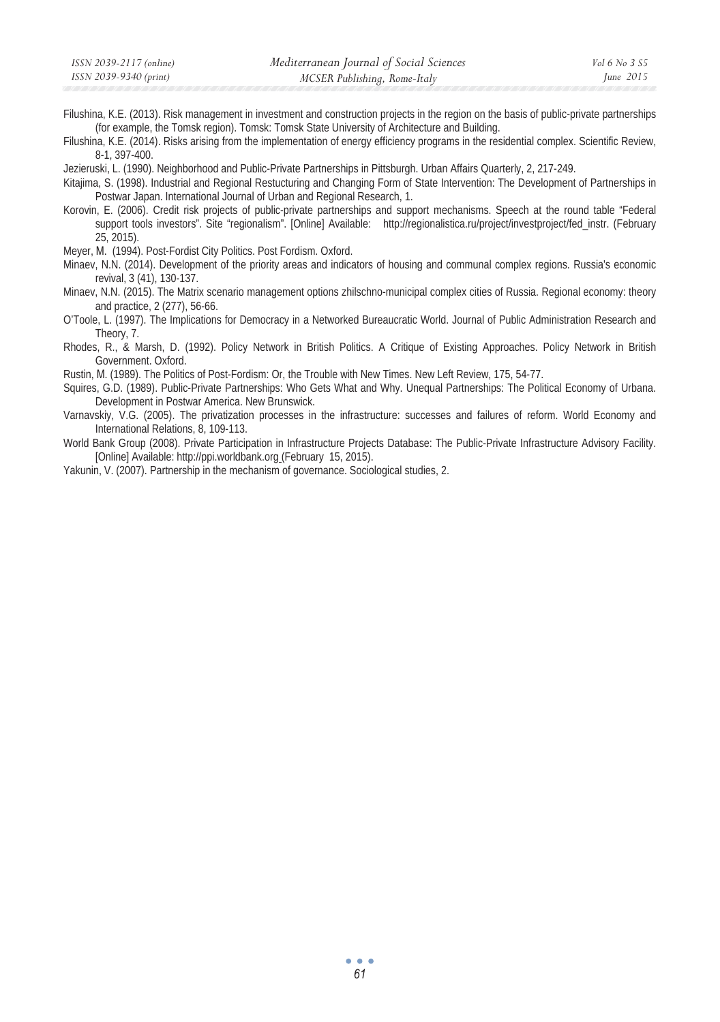- Filushina, K.E. (2013). Risk management in investment and construction projects in the region on the basis of public-private partnerships (for example, the Tomsk region). Tomsk: Tomsk State University of Architecture and Building.
- Filushina, K.E. (2014). Risks arising from the implementation of energy efficiency programs in the residential complex. Scientific Review, 8-1, 397-400.
- Jezieruski, L. (1990). Neighborhood and Public-Private Partnerships in Pittsburgh. Urban Affairs Quarterly, 2, 217-249.
- Kitajima, S. (1998). Industrial and Regional Restucturing and Changing Form of State Intervention: The Development of Partnerships in Postwar Japan. International Journal of Urban and Regional Research, 1.
- Korovin, E. (2006). Credit risk projects of public-private partnerships and support mechanisms. Speech at the round table "Federal support tools investors". Site "regionalism". [Online] Available: http://regionalistica.ru/project/investproject/fed instr. (February 25, 2015).
- Meyer, M. (1994). Post-Fordist City Politics. Post Fordism. Oxford.
- Minaev, N.N. (2014). Development of the priority areas and indicators of housing and communal complex regions. Russia's economic revival, 3 (41), 130-137.
- Minaev, N.N. (2015). The Matrix scenario management options zhilschno-municipal complex cities of Russia. Regional economy: theory and practice, 2 (277), 56-66.
- O'Toole, L. (1997). The Implications for Democracy in a Networked Bureaucratic World. Journal of Public Administration Research and Theory, 7.
- Rhodes, R., & Marsh, D. (1992). Policy Network in British Politics. A Critique of Existing Approaches. Policy Network in British Government. Oxford.
- Rustin, Ɇ. (1989). The Politics of Post-Fordism: Or, the Trouble with New Times. New Left Review, 175, 54-77.
- Squires, G.D. (1989). Public-Private Partnerships: Who Gets What and Why. Unequal Partnerships: The Political Economy of Urbana. Development in Postwar America. New Brunswick.
- Varnavskiy, V.G. (2005). The privatization processes in the infrastructure: successes and failures of reform. World Economy and International Relations, 8, 109-113.
- World Bank Group (2008). Private Participation in Infrastructure Projects Database: The Public-Private Infrastructure Advisory Facility. [Online] Available: http://ppi.worldbank.org (February 15, 2015).
- Yakunin, V. (2007). Partnership in the mechanism of governance. Sociological studies, 2.